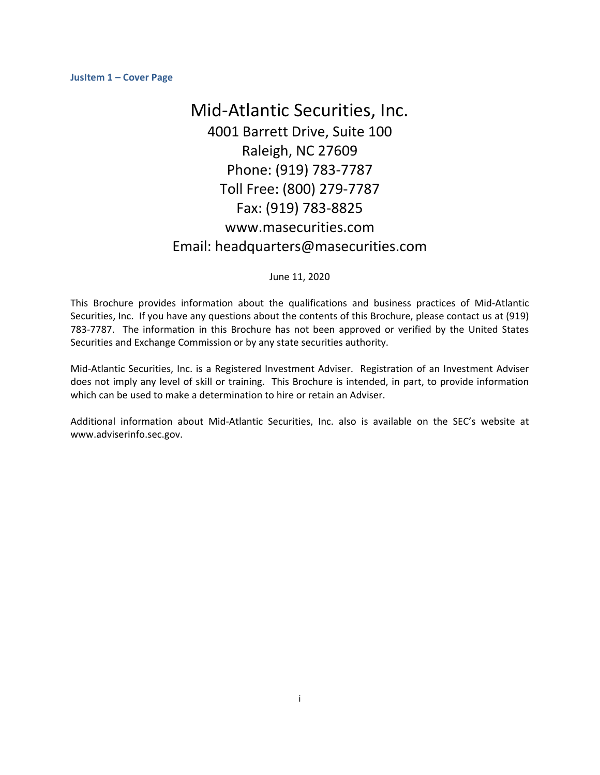# Mid‐Atlantic Securities, Inc. 4001 Barrett Drive, Suite 100 Raleigh, NC 27609 Phone: (919) 783‐7787 Toll Free: (800) 279‐7787 Fax: (919) 783‐8825 www.masecurities.com Email: headquarters@masecurities.com

## June 11, 2020

This Brochure provides information about the qualifications and business practices of Mid‐Atlantic Securities, Inc. If you have any questions about the contents of this Brochure, please contact us at (919) 783-7787. The information in this Brochure has not been approved or verified by the United States Securities and Exchange Commission or by any state securities authority.

Mid‐Atlantic Securities, Inc. is a Registered Investment Adviser. Registration of an Investment Adviser does not imply any level of skill or training. This Brochure is intended, in part, to provide information which can be used to make a determination to hire or retain an Adviser.

Additional information about Mid‐Atlantic Securities, Inc. also is available on the SEC's website at www.adviserinfo.sec.gov.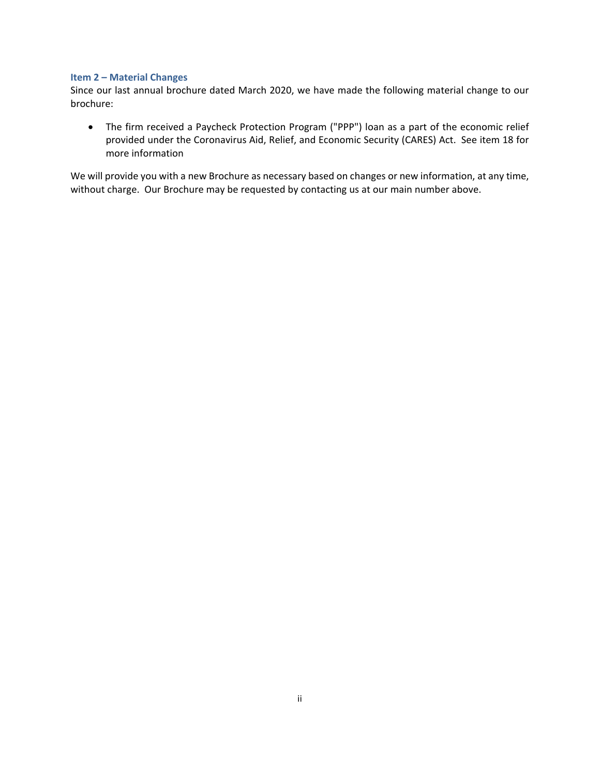## **Item 2 – Material Changes**

Since our last annual brochure dated March 2020, we have made the following material change to our brochure:

 The firm received a Paycheck Protection Program ("PPP") loan as a part of the economic relief provided under the Coronavirus Aid, Relief, and Economic Security (CARES) Act. See item 18 for more information

We will provide you with a new Brochure as necessary based on changes or new information, at any time, without charge. Our Brochure may be requested by contacting us at our main number above.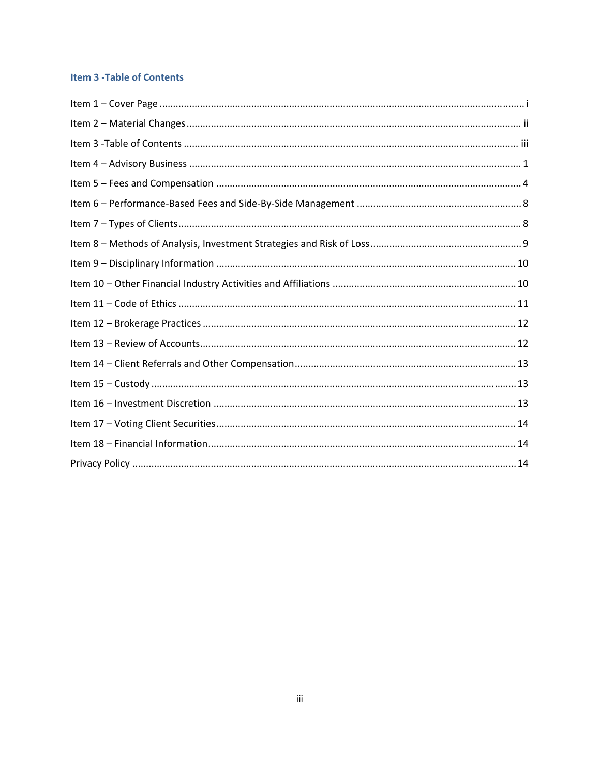# **Item 3 - Table of Contents**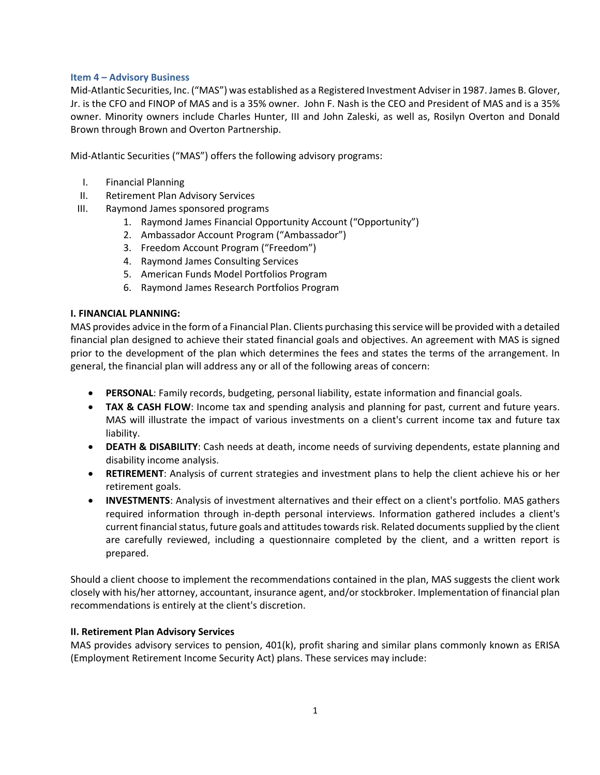## **Item 4 – Advisory Business**

Mid‐Atlantic Securities, Inc. ("MAS") was established as a Registered Investment Adviserin 1987. James B. Glover, Jr. is the CFO and FINOP of MAS and is a 35% owner. John F. Nash is the CEO and President of MAS and is a 35% owner. Minority owners include Charles Hunter, III and John Zaleski, as well as, Rosilyn Overton and Donald Brown through Brown and Overton Partnership.

Mid‐Atlantic Securities ("MAS") offers the following advisory programs:

- I. Financial Planning
- II. Retirement Plan Advisory Services
- III. Raymond James sponsored programs
	- 1. Raymond James Financial Opportunity Account ("Opportunity")
	- 2. Ambassador Account Program ("Ambassador")
	- 3. Freedom Account Program ("Freedom")
	- 4. Raymond James Consulting Services
	- 5. American Funds Model Portfolios Program
	- 6. Raymond James Research Portfolios Program

## **I. FINANCIAL PLANNING:**

MAS provides advice in the form of a Financial Plan. Clients purchasing thisservice will be provided with a detailed financial plan designed to achieve their stated financial goals and objectives. An agreement with MAS is signed prior to the development of the plan which determines the fees and states the terms of the arrangement. In general, the financial plan will address any or all of the following areas of concern:

- **PERSONAL**: Family records, budgeting, personal liability, estate information and financial goals.
- **TAX & CASH FLOW**: Income tax and spending analysis and planning for past, current and future years. MAS will illustrate the impact of various investments on a client's current income tax and future tax liability.
- **DEATH & DISABILITY**: Cash needs at death, income needs of surviving dependents, estate planning and disability income analysis.
- **RETIREMENT**: Analysis of current strategies and investment plans to help the client achieve his or her retirement goals.
- **INVESTMENTS**: Analysis of investment alternatives and their effect on a client's portfolio. MAS gathers required information through in‐depth personal interviews. Information gathered includes a client's current financial status, future goals and attitudes towards risk. Related documents supplied by the client are carefully reviewed, including a questionnaire completed by the client, and a written report is prepared.

Should a client choose to implement the recommendations contained in the plan, MAS suggests the client work closely with his/her attorney, accountant, insurance agent, and/or stockbroker. Implementation of financial plan recommendations is entirely at the client's discretion.

# **II. Retirement Plan Advisory Services**

MAS provides advisory services to pension, 401(k), profit sharing and similar plans commonly known as ERISA (Employment Retirement Income Security Act) plans. These services may include: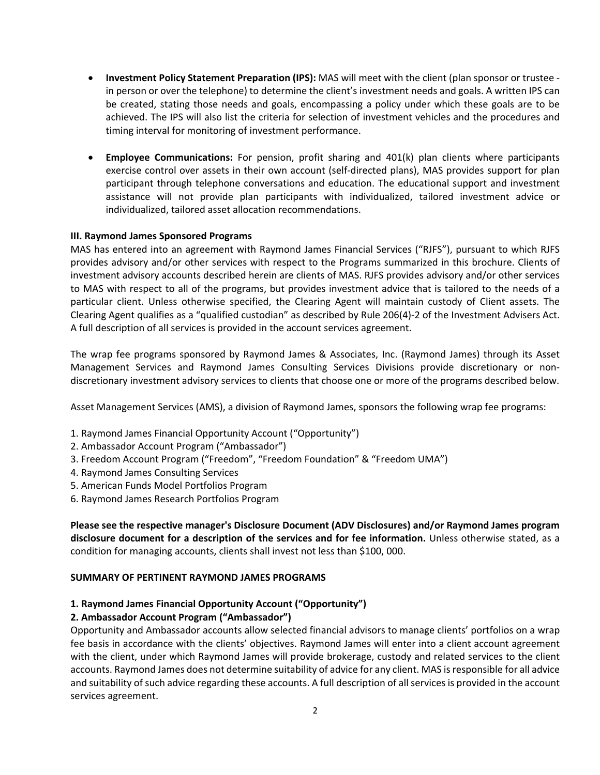- **Investment Policy Statement Preparation (IPS):** MAS will meet with the client (plan sponsor or trustee ‐ in person or over the telephone) to determine the client's investment needs and goals. A written IPS can be created, stating those needs and goals, encompassing a policy under which these goals are to be achieved. The IPS will also list the criteria for selection of investment vehicles and the procedures and timing interval for monitoring of investment performance.
- **Employee Communications:** For pension, profit sharing and 401(k) plan clients where participants exercise control over assets in their own account (self-directed plans), MAS provides support for plan participant through telephone conversations and education. The educational support and investment assistance will not provide plan participants with individualized, tailored investment advice or individualized, tailored asset allocation recommendations.

## **III. Raymond James Sponsored Programs**

MAS has entered into an agreement with Raymond James Financial Services ("RJFS"), pursuant to which RJFS provides advisory and/or other services with respect to the Programs summarized in this brochure. Clients of investment advisory accounts described herein are clients of MAS. RJFS provides advisory and/or other services to MAS with respect to all of the programs, but provides investment advice that is tailored to the needs of a particular client. Unless otherwise specified, the Clearing Agent will maintain custody of Client assets. The Clearing Agent qualifies as a "qualified custodian" as described by Rule 206(4)‐2 of the Investment Advisers Act. A full description of all services is provided in the account services agreement.

The wrap fee programs sponsored by Raymond James & Associates, Inc. (Raymond James) through its Asset Management Services and Raymond James Consulting Services Divisions provide discretionary or non‐ discretionary investment advisory services to clients that choose one or more of the programs described below.

Asset Management Services (AMS), a division of Raymond James, sponsors the following wrap fee programs:

- 1. Raymond James Financial Opportunity Account ("Opportunity")
- 2. Ambassador Account Program ("Ambassador")
- 3. Freedom Account Program ("Freedom", "Freedom Foundation" & "Freedom UMA")
- 4. Raymond James Consulting Services
- 5. American Funds Model Portfolios Program
- 6. Raymond James Research Portfolios Program

**Please see the respective manager's Disclosure Document (ADV Disclosures) and/or Raymond James program disclosure document for a description of the services and for fee information.** Unless otherwise stated, as a condition for managing accounts, clients shall invest not less than \$100, 000.

## **SUMMARY OF PERTINENT RAYMOND JAMES PROGRAMS**

## **1. Raymond James Financial Opportunity Account ("Opportunity")**

# **2. Ambassador Account Program ("Ambassador")**

Opportunity and Ambassador accounts allow selected financial advisors to manage clients' portfolios on a wrap fee basis in accordance with the clients' objectives. Raymond James will enter into a client account agreement with the client, under which Raymond James will provide brokerage, custody and related services to the client accounts. Raymond James does not determine suitability of advice for any client. MAS is responsible for all advice and suitability of such advice regarding these accounts. A full description of all services is provided in the account services agreement.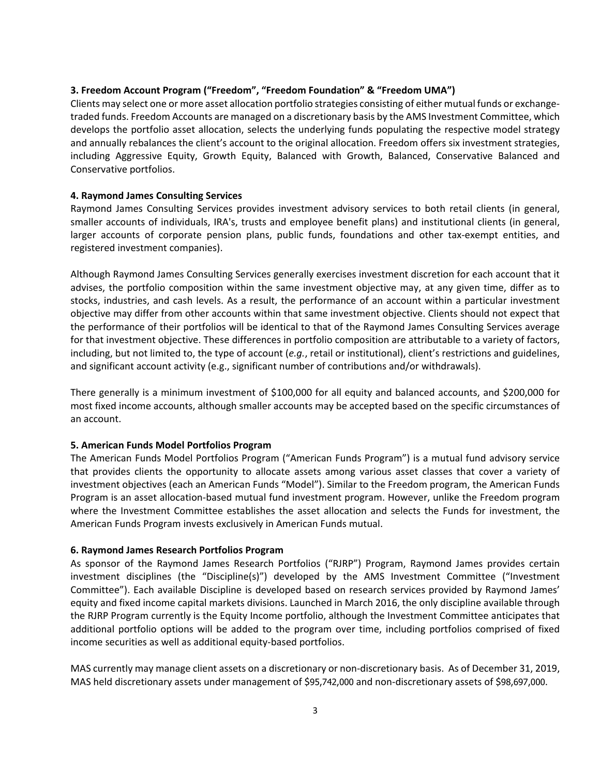## **3. Freedom Account Program ("Freedom", "Freedom Foundation" & "Freedom UMA")**

Clients may select one or more asset allocation portfolio strategies consisting of either mutual funds or exchange‐ traded funds. Freedom Accounts are managed on a discretionary basis by the AMS Investment Committee, which develops the portfolio asset allocation, selects the underlying funds populating the respective model strategy and annually rebalances the client's account to the original allocation. Freedom offers six investment strategies, including Aggressive Equity, Growth Equity, Balanced with Growth, Balanced, Conservative Balanced and Conservative portfolios.

## **4. Raymond James Consulting Services**

Raymond James Consulting Services provides investment advisory services to both retail clients (in general, smaller accounts of individuals, IRA's, trusts and employee benefit plans) and institutional clients (in general, larger accounts of corporate pension plans, public funds, foundations and other tax-exempt entities, and registered investment companies).

Although Raymond James Consulting Services generally exercises investment discretion for each account that it advises, the portfolio composition within the same investment objective may, at any given time, differ as to stocks, industries, and cash levels. As a result, the performance of an account within a particular investment objective may differ from other accounts within that same investment objective. Clients should not expect that the performance of their portfolios will be identical to that of the Raymond James Consulting Services average for that investment objective. These differences in portfolio composition are attributable to a variety of factors, including, but not limited to, the type of account (*e.g.*, retail or institutional), client's restrictions and guidelines, and significant account activity (e.g., significant number of contributions and/or withdrawals).

There generally is a minimum investment of \$100,000 for all equity and balanced accounts, and \$200,000 for most fixed income accounts, although smaller accounts may be accepted based on the specific circumstances of an account.

## **5. American Funds Model Portfolios Program**

The American Funds Model Portfolios Program ("American Funds Program") is a mutual fund advisory service that provides clients the opportunity to allocate assets among various asset classes that cover a variety of investment objectives (each an American Funds "Model"). Similar to the Freedom program, the American Funds Program is an asset allocation‐based mutual fund investment program. However, unlike the Freedom program where the Investment Committee establishes the asset allocation and selects the Funds for investment, the American Funds Program invests exclusively in American Funds mutual.

## **6. Raymond James Research Portfolios Program**

As sponsor of the Raymond James Research Portfolios ("RJRP") Program, Raymond James provides certain investment disciplines (the "Discipline(s)") developed by the AMS Investment Committee ("Investment Committee"). Each available Discipline is developed based on research services provided by Raymond James' equity and fixed income capital markets divisions. Launched in March 2016, the only discipline available through the RJRP Program currently is the Equity Income portfolio, although the Investment Committee anticipates that additional portfolio options will be added to the program over time, including portfolios comprised of fixed income securities as well as additional equity‐based portfolios.

MAS currently may manage client assets on a discretionary or non-discretionary basis. As of December 31, 2019, MAS held discretionary assets under management of \$95,742,000 and non‐discretionary assets of \$98,697,000.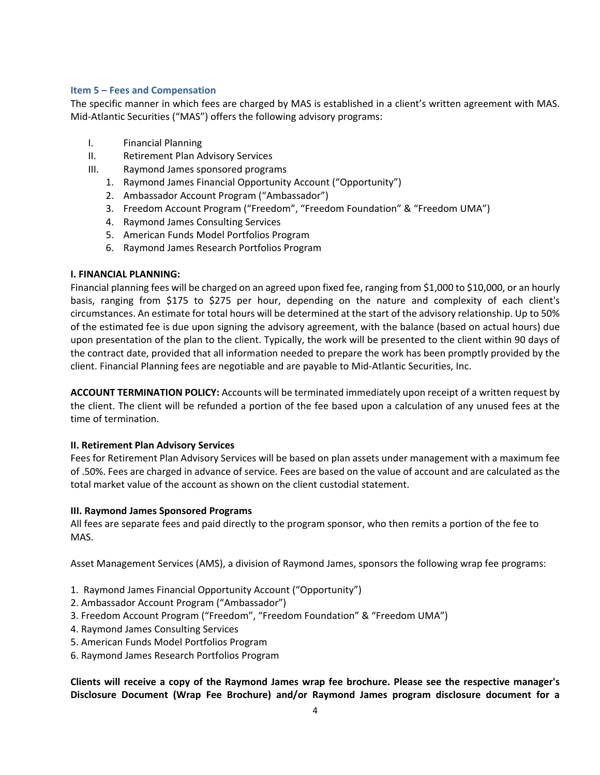## **Item 5 – Fees and Compensation**

The specific manner in which fees are charged by MAS is established in a client's written agreement with MAS. Mid‐Atlantic Securities ("MAS") offers the following advisory programs:

- I. Financial Planning
- II. Retirement Plan Advisory Services
- III. Raymond James sponsored programs
	- 1. Raymond James Financial Opportunity Account ("Opportunity")
	- 2. Ambassador Account Program ("Ambassador")
	- 3. Freedom Account Program ("Freedom", "Freedom Foundation" & "Freedom UMA")
	- 4. Raymond James Consulting Services
	- 5. American Funds Model Portfolios Program
	- 6. Raymond James Research Portfolios Program

# **I. FINANCIAL PLANNING:**

Financial planning fees will be charged on an agreed upon fixed fee, ranging from \$1,000 to \$10,000, or an hourly basis, ranging from \$175 to \$275 per hour, depending on the nature and complexity of each client's circumstances. An estimate for total hours will be determined at the start of the advisory relationship. Up to 50% of the estimated fee is due upon signing the advisory agreement, with the balance (based on actual hours) due upon presentation of the plan to the client. Typically, the work will be presented to the client within 90 days of the contract date, provided that all information needed to prepare the work has been promptly provided by the client. Financial Planning fees are negotiable and are payable to Mid‐Atlantic Securities, Inc.

**ACCOUNT TERMINATION POLICY:** Accounts will be terminated immediately upon receipt of a written request by the client. The client will be refunded a portion of the fee based upon a calculation of any unused fees at the time of termination.

# **II. Retirement Plan Advisory Services**

Fees for Retirement Plan Advisory Services will be based on plan assets under management with a maximum fee of .50%. Fees are charged in advance of service. Fees are based on the value of account and are calculated as the total market value of the account as shown on the client custodial statement.

# **III. Raymond James Sponsored Programs**

All fees are separate fees and paid directly to the program sponsor, who then remits a portion of the fee to MAS.

Asset Management Services (AMS), a division of Raymond James, sponsors the following wrap fee programs:

- 1. Raymond James Financial Opportunity Account ("Opportunity")
- 2. Ambassador Account Program ("Ambassador")
- 3. Freedom Account Program ("Freedom", "Freedom Foundation" & "Freedom UMA")
- 4. Raymond James Consulting Services
- 5. American Funds Model Portfolios Program
- 6. Raymond James Research Portfolios Program

**Clients will receive a copy of the Raymond James wrap fee brochure. Please see the respective manager's Disclosure Document (Wrap Fee Brochure) and/or Raymond James program disclosure document for a**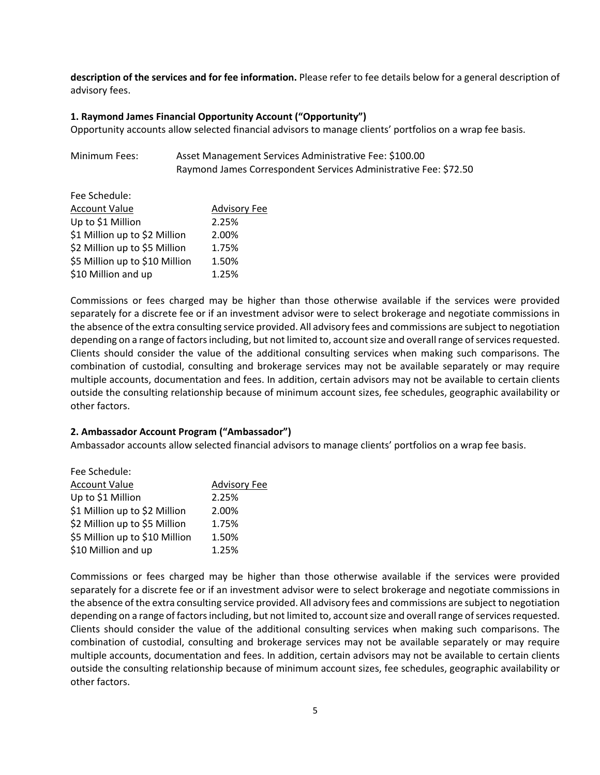**description of the services and for fee information.** Please refer to fee details below for a general description of advisory fees.

#### **1. Raymond James Financial Opportunity Account ("Opportunity")**

Opportunity accounts allow selected financial advisors to manage clients' portfolios on a wrap fee basis.

| Minimum Fees: | Asset Management Services Administrative Fee: \$100.00           |
|---------------|------------------------------------------------------------------|
|               | Raymond James Correspondent Services Administrative Fee: \$72.50 |

| Fee Schedule:                  |                     |
|--------------------------------|---------------------|
| <b>Account Value</b>           | <b>Advisory Fee</b> |
| Up to \$1 Million              | 2.25%               |
| \$1 Million up to \$2 Million  | 2.00%               |
| \$2 Million up to \$5 Million  | 1.75%               |
| \$5 Million up to \$10 Million | 1.50%               |
| \$10 Million and up            | 1.25%               |
|                                |                     |

Commissions or fees charged may be higher than those otherwise available if the services were provided separately for a discrete fee or if an investment advisor were to select brokerage and negotiate commissions in the absence of the extra consulting service provided. All advisory fees and commissions are subject to negotiation depending on a range of factors including, but not limited to, account size and overall range of services requested. Clients should consider the value of the additional consulting services when making such comparisons. The combination of custodial, consulting and brokerage services may not be available separately or may require multiple accounts, documentation and fees. In addition, certain advisors may not be available to certain clients outside the consulting relationship because of minimum account sizes, fee schedules, geographic availability or other factors.

## **2. Ambassador Account Program ("Ambassador")**

Ambassador accounts allow selected financial advisors to manage clients' portfolios on a wrap fee basis.

| Fee Schedule:                  |                     |
|--------------------------------|---------------------|
| <b>Account Value</b>           | <b>Advisory Fee</b> |
| Up to \$1 Million              | 2.25%               |
| \$1 Million up to \$2 Million  | 2.00%               |
| \$2 Million up to \$5 Million  | 1.75%               |
| \$5 Million up to \$10 Million | 1.50%               |
| \$10 Million and up            | 1.25%               |

Commissions or fees charged may be higher than those otherwise available if the services were provided separately for a discrete fee or if an investment advisor were to select brokerage and negotiate commissions in the absence of the extra consulting service provided. All advisory fees and commissions are subject to negotiation depending on a range of factors including, but not limited to, account size and overall range of services requested. Clients should consider the value of the additional consulting services when making such comparisons. The combination of custodial, consulting and brokerage services may not be available separately or may require multiple accounts, documentation and fees. In addition, certain advisors may not be available to certain clients outside the consulting relationship because of minimum account sizes, fee schedules, geographic availability or other factors.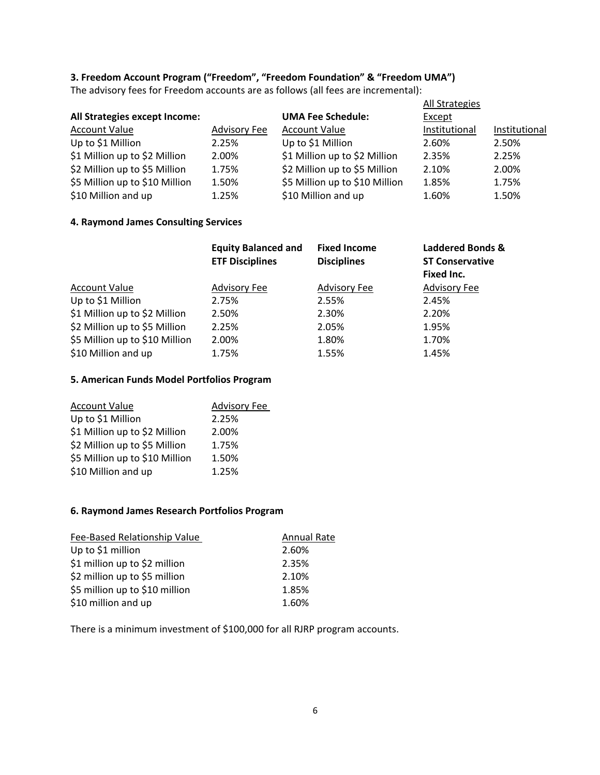# **3. Freedom Account Program ("Freedom", "Freedom Foundation" & "Freedom UMA")**

The advisory fees for Freedom accounts are as follows (all fees are incremental):

|                     |                                | All Strategies |               |
|---------------------|--------------------------------|----------------|---------------|
|                     | <b>UMA Fee Schedule:</b>       | Except         |               |
| <b>Advisory Fee</b> | <b>Account Value</b>           | Institutional  | Institutional |
| 2.25%               | Up to \$1 Million              | 2.60%          | 2.50%         |
| 2.00%               | \$1 Million up to \$2 Million  | 2.35%          | 2.25%         |
| 1.75%               | \$2 Million up to \$5 Million  | 2.10%          | 2.00%         |
| 1.50%               | \$5 Million up to \$10 Million | 1.85%          | 1.75%         |
| 1.25%               | \$10 Million and up            | 1.60%          | 1.50%         |
|                     |                                |                |               |

## **4. Raymond James Consulting Services**

|                                | <b>Equity Balanced and</b><br><b>ETF Disciplines</b> | <b>Fixed Income</b><br><b>Disciplines</b> | <b>Laddered Bonds &amp;</b><br><b>ST Conservative</b><br>Fixed Inc. |
|--------------------------------|------------------------------------------------------|-------------------------------------------|---------------------------------------------------------------------|
| <b>Account Value</b>           | <b>Advisory Fee</b>                                  | <b>Advisory Fee</b>                       | <b>Advisory Fee</b>                                                 |
| Up to \$1 Million              | 2.75%                                                | 2.55%                                     | 2.45%                                                               |
| \$1 Million up to \$2 Million  | 2.50%                                                | 2.30%                                     | 2.20%                                                               |
| \$2 Million up to \$5 Million  | 2.25%                                                | 2.05%                                     | 1.95%                                                               |
| \$5 Million up to \$10 Million | 2.00%                                                | 1.80%                                     | 1.70%                                                               |
| \$10 Million and up            | 1.75%                                                | 1.55%                                     | 1.45%                                                               |

## **5. American Funds Model Portfolios Program**

| <b>Account Value</b>           | <b>Advisory Fee</b> |
|--------------------------------|---------------------|
| Up to \$1 Million              | 2.25%               |
| \$1 Million up to \$2 Million  | 2.00%               |
| \$2 Million up to \$5 Million  | 1.75%               |
| \$5 Million up to \$10 Million | 1.50%               |
| \$10 Million and up            | 1.25%               |

## **6. Raymond James Research Portfolios Program**

| Fee-Based Relationship Value   | <b>Annual Rate</b> |
|--------------------------------|--------------------|
| Up to \$1 million              | 2.60%              |
| \$1 million up to \$2 million  | 2.35%              |
| \$2 million up to \$5 million  | 2.10%              |
| \$5 million up to \$10 million | 1.85%              |
| \$10 million and up            | 1.60%              |

There is a minimum investment of \$100,000 for all RJRP program accounts.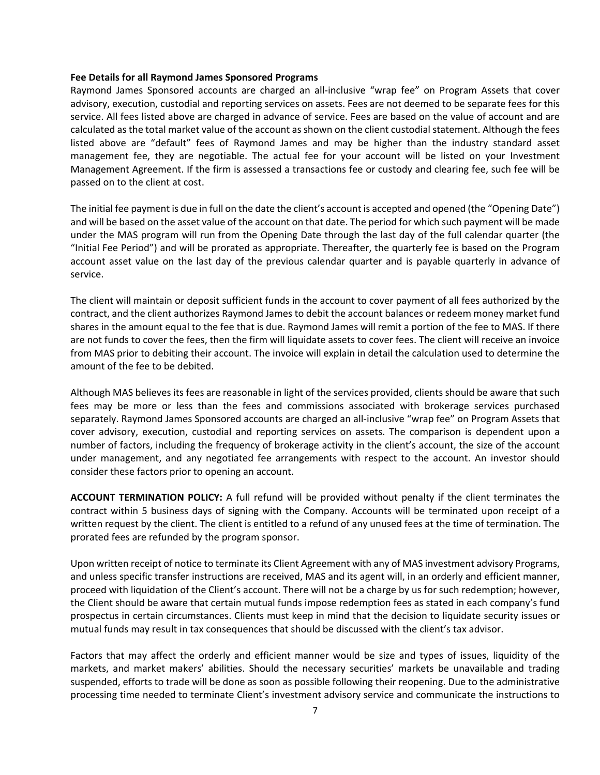#### **Fee Details for all Raymond James Sponsored Programs**

Raymond James Sponsored accounts are charged an all-inclusive "wrap fee" on Program Assets that cover advisory, execution, custodial and reporting services on assets. Fees are not deemed to be separate fees for this service. All fees listed above are charged in advance of service. Fees are based on the value of account and are calculated as the total market value of the account as shown on the client custodial statement. Although the fees listed above are "default" fees of Raymond James and may be higher than the industry standard asset management fee, they are negotiable. The actual fee for your account will be listed on your Investment Management Agreement. If the firm is assessed a transactions fee or custody and clearing fee, such fee will be passed on to the client at cost.

The initial fee payment is due in full on the date the client's account is accepted and opened (the "Opening Date") and will be based on the asset value of the account on that date. The period for which such payment will be made under the MAS program will run from the Opening Date through the last day of the full calendar quarter (the "Initial Fee Period") and will be prorated as appropriate. Thereafter, the quarterly fee is based on the Program account asset value on the last day of the previous calendar quarter and is payable quarterly in advance of service.

The client will maintain or deposit sufficient funds in the account to cover payment of all fees authorized by the contract, and the client authorizes Raymond James to debit the account balances or redeem money market fund shares in the amount equal to the fee that is due. Raymond James will remit a portion of the fee to MAS. If there are not funds to cover the fees, then the firm will liquidate assets to cover fees. The client will receive an invoice from MAS prior to debiting their account. The invoice will explain in detail the calculation used to determine the amount of the fee to be debited.

Although MAS believes its fees are reasonable in light of the services provided, clients should be aware that such fees may be more or less than the fees and commissions associated with brokerage services purchased separately. Raymond James Sponsored accounts are charged an all-inclusive "wrap fee" on Program Assets that cover advisory, execution, custodial and reporting services on assets. The comparison is dependent upon a number of factors, including the frequency of brokerage activity in the client's account, the size of the account under management, and any negotiated fee arrangements with respect to the account. An investor should consider these factors prior to opening an account.

**ACCOUNT TERMINATION POLICY:** A full refund will be provided without penalty if the client terminates the contract within 5 business days of signing with the Company. Accounts will be terminated upon receipt of a written request by the client. The client is entitled to a refund of any unused fees at the time of termination. The prorated fees are refunded by the program sponsor.

Upon written receipt of notice to terminate its Client Agreement with any of MAS investment advisory Programs, and unless specific transfer instructions are received, MAS and its agent will, in an orderly and efficient manner, proceed with liquidation of the Client's account. There will not be a charge by us for such redemption; however, the Client should be aware that certain mutual funds impose redemption fees as stated in each company's fund prospectus in certain circumstances. Clients must keep in mind that the decision to liquidate security issues or mutual funds may result in tax consequences that should be discussed with the client's tax advisor.

Factors that may affect the orderly and efficient manner would be size and types of issues, liquidity of the markets, and market makers' abilities. Should the necessary securities' markets be unavailable and trading suspended, efforts to trade will be done as soon as possible following their reopening. Due to the administrative processing time needed to terminate Client's investment advisory service and communicate the instructions to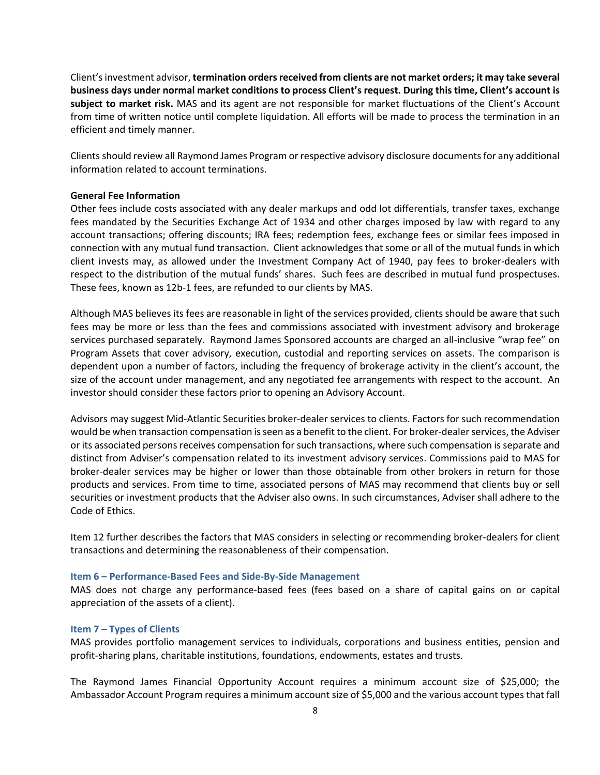Client'sinvestment advisor, **termination ordersreceived from clients are not market orders; it may take several business days under normal market conditions to process Client's request. During this time, Client's account is subject to market risk.** MAS and its agent are not responsible for market fluctuations of the Client's Account from time of written notice until complete liquidation. All efforts will be made to process the termination in an efficient and timely manner.

Clientsshould review all Raymond James Program or respective advisory disclosure documentsfor any additional information related to account terminations.

#### **General Fee Information**

Other fees include costs associated with any dealer markups and odd lot differentials, transfer taxes, exchange fees mandated by the Securities Exchange Act of 1934 and other charges imposed by law with regard to any account transactions; offering discounts; IRA fees; redemption fees, exchange fees or similar fees imposed in connection with any mutual fund transaction. Client acknowledges that some or all of the mutual funds in which client invests may, as allowed under the Investment Company Act of 1940, pay fees to broker‐dealers with respect to the distribution of the mutual funds' shares. Such fees are described in mutual fund prospectuses. These fees, known as 12b-1 fees, are refunded to our clients by MAS.

Although MAS believes its fees are reasonable in light of the services provided, clients should be aware that such fees may be more or less than the fees and commissions associated with investment advisory and brokerage services purchased separately. Raymond James Sponsored accounts are charged an all‐inclusive "wrap fee" on Program Assets that cover advisory, execution, custodial and reporting services on assets. The comparison is dependent upon a number of factors, including the frequency of brokerage activity in the client's account, the size of the account under management, and any negotiated fee arrangements with respect to the account. An investor should consider these factors prior to opening an Advisory Account.

Advisors may suggest Mid‐Atlantic Securities broker‐dealer services to clients. Factors for such recommendation would be when transaction compensation is seen as a benefit to the client. For broker-dealer services, the Adviser or its associated persons receives compensation for such transactions, where such compensation is separate and distinct from Adviser's compensation related to its investment advisory services. Commissions paid to MAS for broker‐dealer services may be higher or lower than those obtainable from other brokers in return for those products and services. From time to time, associated persons of MAS may recommend that clients buy or sell securities or investment products that the Adviser also owns. In such circumstances, Adviser shall adhere to the Code of Ethics.

Item 12 further describes the factors that MAS considers in selecting or recommending broker‐dealers for client transactions and determining the reasonableness of their compensation.

## **Item 6 – Performance‐Based Fees and Side‐By‐Side Management**

MAS does not charge any performance‐based fees (fees based on a share of capital gains on or capital appreciation of the assets of a client).

#### **Item 7 – Types of Clients**

MAS provides portfolio management services to individuals, corporations and business entities, pension and profit‐sharing plans, charitable institutions, foundations, endowments, estates and trusts.

The Raymond James Financial Opportunity Account requires a minimum account size of \$25,000; the Ambassador Account Program requires a minimum account size of \$5,000 and the various account types that fall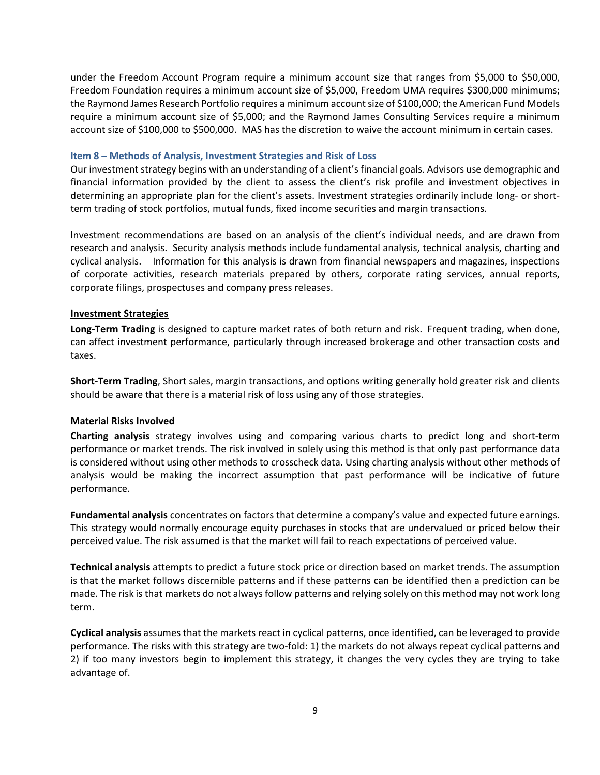under the Freedom Account Program require a minimum account size that ranges from \$5,000 to \$50,000, Freedom Foundation requires a minimum account size of \$5,000, Freedom UMA requires \$300,000 minimums; the Raymond James Research Portfolio requires a minimum accountsize of \$100,000; the American Fund Models require a minimum account size of \$5,000; and the Raymond James Consulting Services require a minimum account size of \$100,000 to \$500,000. MAS has the discretion to waive the account minimum in certain cases.

#### **Item 8 – Methods of Analysis, Investment Strategies and Risk of Loss**

Our investment strategy begins with an understanding of a client's financial goals. Advisors use demographic and financial information provided by the client to assess the client's risk profile and investment objectives in determining an appropriate plan for the client's assets. Investment strategies ordinarily include long‐ or short‐ term trading of stock portfolios, mutual funds, fixed income securities and margin transactions.

Investment recommendations are based on an analysis of the client's individual needs, and are drawn from research and analysis. Security analysis methods include fundamental analysis, technical analysis, charting and cyclical analysis. Information for this analysis is drawn from financial newspapers and magazines, inspections of corporate activities, research materials prepared by others, corporate rating services, annual reports, corporate filings, prospectuses and company press releases.

## **Investment Strategies**

**Long‐Term Trading** is designed to capture market rates of both return and risk. Frequent trading, when done, can affect investment performance, particularly through increased brokerage and other transaction costs and taxes.

**Short‐Term Trading**, Short sales, margin transactions, and options writing generally hold greater risk and clients should be aware that there is a material risk of loss using any of those strategies.

## **Material Risks Involved**

**Charting analysis** strategy involves using and comparing various charts to predict long and short‐term performance or market trends. The risk involved in solely using this method is that only past performance data is considered without using other methods to crosscheck data. Using charting analysis without other methods of analysis would be making the incorrect assumption that past performance will be indicative of future performance.

**Fundamental analysis** concentrates on factors that determine a company's value and expected future earnings. This strategy would normally encourage equity purchases in stocks that are undervalued or priced below their perceived value. The risk assumed is that the market will fail to reach expectations of perceived value.

**Technical analysis** attempts to predict a future stock price or direction based on market trends. The assumption is that the market follows discernible patterns and if these patterns can be identified then a prediction can be made. The risk is that markets do not alwaysfollow patterns and relying solely on this method may not work long term.

**Cyclical analysis** assumes that the markets react in cyclical patterns, once identified, can be leveraged to provide performance. The risks with this strategy are two-fold: 1) the markets do not always repeat cyclical patterns and 2) if too many investors begin to implement this strategy, it changes the very cycles they are trying to take advantage of.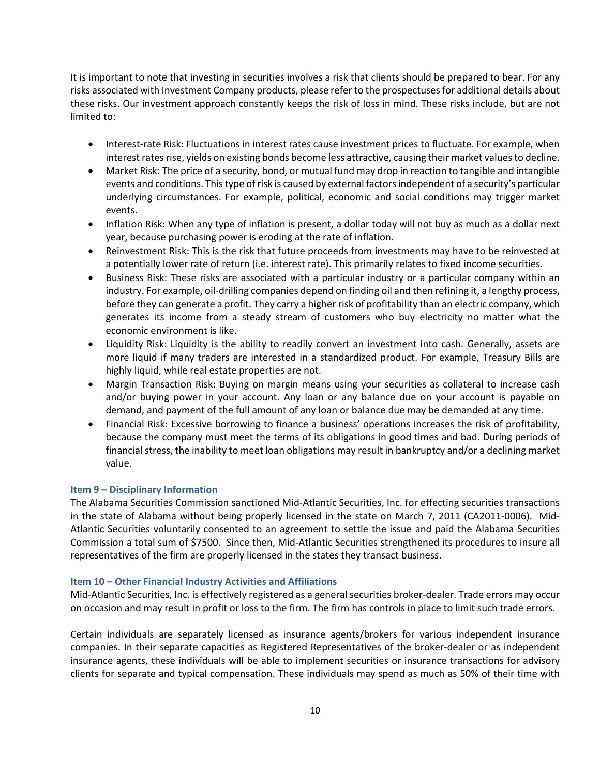It is important to note that investing in securities involves a risk that clients should be prepared to bear. For any risks associated with Investment Company products, please refer to the prospectusesfor additional details about these risks. Our investment approach constantly keeps the risk of loss in mind. These risks include, but are not limited to:

- Interest-rate Risk: Fluctuations in interest rates cause investment prices to fluctuate. For example, when interest rates rise, yields on existing bonds become less attractive, causing their market values to decline.
- Market Risk: The price of a security, bond, or mutual fund may drop in reaction to tangible and intangible events and conditions. Thistype of risk is caused by external factorsindependent of a security's particular underlying circumstances. For example, political, economic and social conditions may trigger market events.
- Inflation Risk: When any type of inflation is present, a dollar today will not buy as much as a dollar next year, because purchasing power is eroding at the rate of inflation.
- Reinvestment Risk: This is the risk that future proceeds from investments may have to be reinvested at a potentially lower rate of return (i.e. interest rate). This primarily relates to fixed income securities.
- Business Risk: These risks are associated with a particular industry or a particular company within an industry. For example, oil‐drilling companies depend on finding oil and then refining it, a lengthy process, before they can generate a profit. They carry a higher risk of profitability than an electric company, which generates its income from a steady stream of customers who buy electricity no matter what the economic environment is like.
- Liquidity Risk: Liquidity is the ability to readily convert an investment into cash. Generally, assets are more liquid if many traders are interested in a standardized product. For example, Treasury Bills are highly liquid, while real estate properties are not.
- Margin Transaction Risk: Buying on margin means using your securities as collateral to increase cash and/or buying power in your account. Any loan or any balance due on your account is payable on demand, and payment of the full amount of any loan or balance due may be demanded at any time.
- Financial Risk: Excessive borrowing to finance a business' operations increases the risk of profitability, because the company must meet the terms of its obligations in good times and bad. During periods of financial stress, the inability to meet loan obligations may result in bankruptcy and/or a declining market value.

# **Item 9 – Disciplinary Information**

The Alabama Securities Commission sanctioned Mid‐Atlantic Securities, Inc. for effecting securities transactions in the state of Alabama without being properly licensed in the state on March 7, 2011 (CA2011‐0006). Mid‐ Atlantic Securities voluntarily consented to an agreement to settle the issue and paid the Alabama Securities Commission a total sum of \$7500. Since then, Mid‐Atlantic Securities strengthened its procedures to insure all representatives of the firm are properly licensed in the states they transact business.

## **Item 10 – Other Financial Industry Activities and Affiliations**

Mid‐Atlantic Securities, Inc. is effectively registered as a general securities broker‐dealer. Trade errors may occur on occasion and may result in profit or loss to the firm. The firm has controls in place to limit such trade errors.

Certain individuals are separately licensed as insurance agents/brokers for various independent insurance companies. In their separate capacities as Registered Representatives of the broker‐dealer or as independent insurance agents, these individuals will be able to implement securities or insurance transactions for advisory clients for separate and typical compensation. These individuals may spend as much as 50% of their time with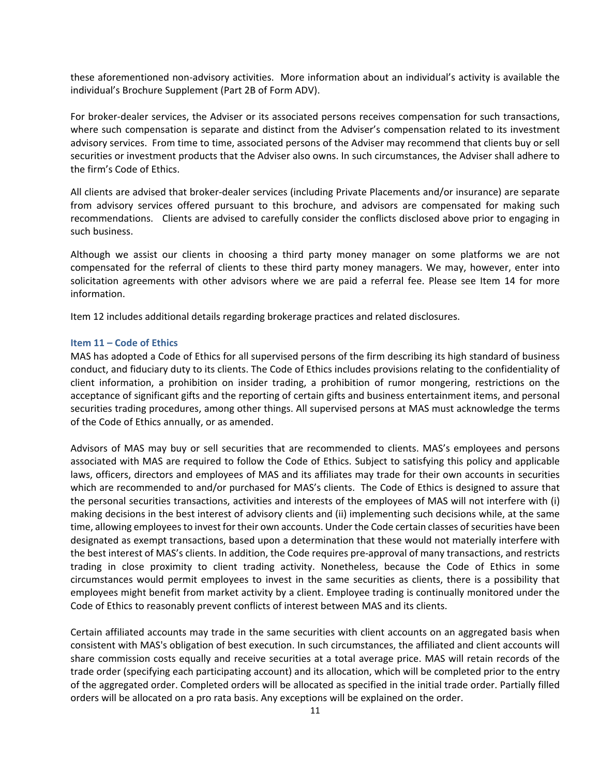these aforementioned non‐advisory activities. More information about an individual's activity is available the individual's Brochure Supplement (Part 2B of Form ADV).

For broker‐dealer services, the Adviser or its associated persons receives compensation for such transactions, where such compensation is separate and distinct from the Adviser's compensation related to its investment advisory services. From time to time, associated persons of the Adviser may recommend that clients buy or sell securities or investment products that the Adviser also owns. In such circumstances, the Adviser shall adhere to the firm's Code of Ethics.

All clients are advised that broker‐dealer services (including Private Placements and/or insurance) are separate from advisory services offered pursuant to this brochure, and advisors are compensated for making such recommendations. Clients are advised to carefully consider the conflicts disclosed above prior to engaging in such business.

Although we assist our clients in choosing a third party money manager on some platforms we are not compensated for the referral of clients to these third party money managers. We may, however, enter into solicitation agreements with other advisors where we are paid a referral fee. Please see Item 14 for more information.

Item 12 includes additional details regarding brokerage practices and related disclosures.

#### **Item 11 – Code of Ethics**

MAS has adopted a Code of Ethics for all supervised persons of the firm describing its high standard of business conduct, and fiduciary duty to its clients. The Code of Ethics includes provisions relating to the confidentiality of client information, a prohibition on insider trading, a prohibition of rumor mongering, restrictions on the acceptance of significant gifts and the reporting of certain gifts and business entertainment items, and personal securities trading procedures, among other things. All supervised persons at MAS must acknowledge the terms of the Code of Ethics annually, or as amended.

Advisors of MAS may buy or sell securities that are recommended to clients. MAS's employees and persons associated with MAS are required to follow the Code of Ethics. Subject to satisfying this policy and applicable laws, officers, directors and employees of MAS and its affiliates may trade for their own accounts in securities which are recommended to and/or purchased for MAS's clients. The Code of Ethics is designed to assure that the personal securities transactions, activities and interests of the employees of MAS will not interfere with (i) making decisions in the best interest of advisory clients and (ii) implementing such decisions while, at the same time, allowing employees to invest for their own accounts. Under the Code certain classes of securities have been designated as exempt transactions, based upon a determination that these would not materially interfere with the best interest of MAS's clients. In addition, the Code requires pre‐approval of many transactions, and restricts trading in close proximity to client trading activity. Nonetheless, because the Code of Ethics in some circumstances would permit employees to invest in the same securities as clients, there is a possibility that employees might benefit from market activity by a client. Employee trading is continually monitored under the Code of Ethics to reasonably prevent conflicts of interest between MAS and its clients.

Certain affiliated accounts may trade in the same securities with client accounts on an aggregated basis when consistent with MAS's obligation of best execution. In such circumstances, the affiliated and client accounts will share commission costs equally and receive securities at a total average price. MAS will retain records of the trade order (specifying each participating account) and its allocation, which will be completed prior to the entry of the aggregated order. Completed orders will be allocated as specified in the initial trade order. Partially filled orders will be allocated on a pro rata basis. Any exceptions will be explained on the order.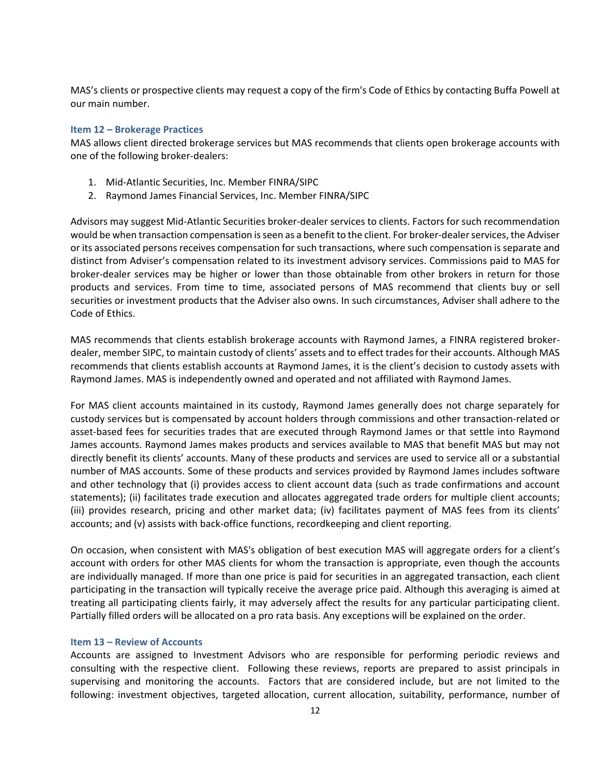MAS's clients or prospective clients may request a copy of the firm's Code of Ethics by contacting Buffa Powell at our main number.

#### **Item 12 – Brokerage Practices**

MAS allows client directed brokerage services but MAS recommends that clients open brokerage accounts with one of the following broker‐dealers:

- 1. Mid‐Atlantic Securities, Inc. Member FINRA/SIPC
- 2. Raymond James Financial Services, Inc. Member FINRA/SIPC

Advisors may suggest Mid‐Atlantic Securities broker‐dealer services to clients. Factors for such recommendation would be when transaction compensation is seen as a benefit to the client. For broker-dealer services, the Adviser or its associated persons receives compensation for such transactions, where such compensation is separate and distinct from Adviser's compensation related to its investment advisory services. Commissions paid to MAS for broker‐dealer services may be higher or lower than those obtainable from other brokers in return for those products and services. From time to time, associated persons of MAS recommend that clients buy or sell securities or investment products that the Adviser also owns. In such circumstances, Adviser shall adhere to the Code of Ethics.

MAS recommends that clients establish brokerage accounts with Raymond James, a FINRA registered broker‐ dealer, member SIPC, to maintain custody of clients' assets and to effect tradesfor their accounts. Although MAS recommends that clients establish accounts at Raymond James, it is the client's decision to custody assets with Raymond James. MAS is independently owned and operated and not affiliated with Raymond James.

For MAS client accounts maintained in its custody, Raymond James generally does not charge separately for custody services but is compensated by account holders through commissions and other transaction‐related or asset-based fees for securities trades that are executed through Raymond James or that settle into Raymond James accounts. Raymond James makes products and services available to MAS that benefit MAS but may not directly benefit its clients' accounts. Many of these products and services are used to service all or a substantial number of MAS accounts. Some of these products and services provided by Raymond James includes software and other technology that (i) provides access to client account data (such as trade confirmations and account statements); (ii) facilitates trade execution and allocates aggregated trade orders for multiple client accounts; (iii) provides research, pricing and other market data; (iv) facilitates payment of MAS fees from its clients' accounts; and (v) assists with back‐office functions, recordkeeping and client reporting.

On occasion, when consistent with MAS's obligation of best execution MAS will aggregate orders for a client's account with orders for other MAS clients for whom the transaction is appropriate, even though the accounts are individually managed. If more than one price is paid for securities in an aggregated transaction, each client participating in the transaction will typically receive the average price paid. Although this averaging is aimed at treating all participating clients fairly, it may adversely affect the results for any particular participating client. Partially filled orders will be allocated on a pro rata basis. Any exceptions will be explained on the order.

#### **Item 13 – Review of Accounts**

Accounts are assigned to Investment Advisors who are responsible for performing periodic reviews and consulting with the respective client. Following these reviews, reports are prepared to assist principals in supervising and monitoring the accounts. Factors that are considered include, but are not limited to the following: investment objectives, targeted allocation, current allocation, suitability, performance, number of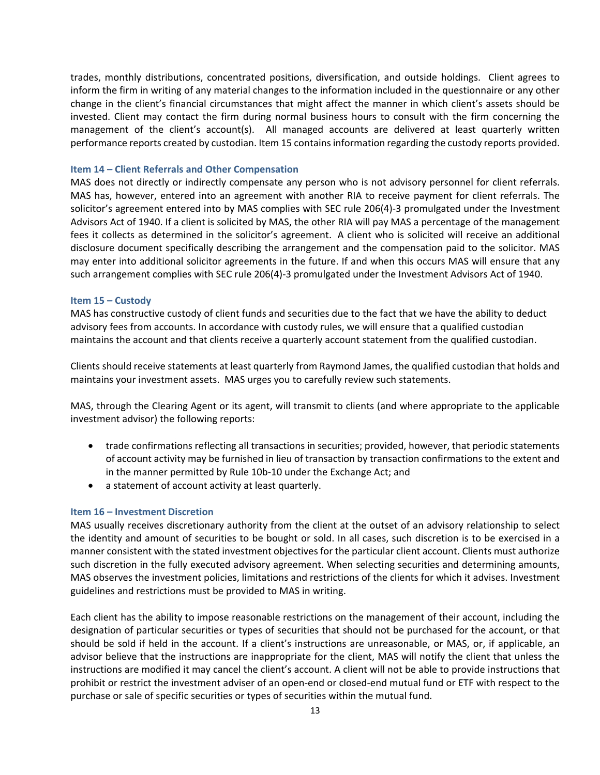trades, monthly distributions, concentrated positions, diversification, and outside holdings. Client agrees to inform the firm in writing of any material changes to the information included in the questionnaire or any other change in the client's financial circumstances that might affect the manner in which client's assets should be invested. Client may contact the firm during normal business hours to consult with the firm concerning the management of the client's account(s). All managed accounts are delivered at least quarterly written performance reports created by custodian. Item 15 containsinformation regarding the custody reports provided.

#### **Item 14 – Client Referrals and Other Compensation**

MAS does not directly or indirectly compensate any person who is not advisory personnel for client referrals. MAS has, however, entered into an agreement with another RIA to receive payment for client referrals. The solicitor's agreement entered into by MAS complies with SEC rule 206(4)-3 promulgated under the Investment Advisors Act of 1940. If a client is solicited by MAS, the other RIA will pay MAS a percentage of the management fees it collects as determined in the solicitor's agreement. A client who is solicited will receive an additional disclosure document specifically describing the arrangement and the compensation paid to the solicitor. MAS may enter into additional solicitor agreements in the future. If and when this occurs MAS will ensure that any such arrangement complies with SEC rule 206(4)-3 promulgated under the Investment Advisors Act of 1940.

#### **Item 15 – Custody**

MAS has constructive custody of client funds and securities due to the fact that we have the ability to deduct advisory fees from accounts. In accordance with custody rules, we will ensure that a qualified custodian maintains the account and that clients receive a quarterly account statement from the qualified custodian.

Clients should receive statements at least quarterly from Raymond James, the qualified custodian that holds and maintains your investment assets. MAS urges you to carefully review such statements.

MAS, through the Clearing Agent or its agent, will transmit to clients (and where appropriate to the applicable investment advisor) the following reports:

- trade confirmations reflecting all transactions in securities; provided, however, that periodic statements of account activity may be furnished in lieu of transaction by transaction confirmations to the extent and in the manner permitted by Rule 10b‐10 under the Exchange Act; and
- a statement of account activity at least quarterly.

#### **Item 16 – Investment Discretion**

MAS usually receives discretionary authority from the client at the outset of an advisory relationship to select the identity and amount of securities to be bought or sold. In all cases, such discretion is to be exercised in a manner consistent with the stated investment objectives for the particular client account. Clients must authorize such discretion in the fully executed advisory agreement. When selecting securities and determining amounts, MAS observes the investment policies, limitations and restrictions of the clients for which it advises. Investment guidelines and restrictions must be provided to MAS in writing.

Each client has the ability to impose reasonable restrictions on the management of their account, including the designation of particular securities or types of securities that should not be purchased for the account, or that should be sold if held in the account. If a client's instructions are unreasonable, or MAS, or, if applicable, an advisor believe that the instructions are inappropriate for the client, MAS will notify the client that unless the instructions are modified it may cancel the client's account. A client will not be able to provide instructions that prohibit or restrict the investment adviser of an open‐end or closed‐end mutual fund or ETF with respect to the purchase or sale of specific securities or types of securities within the mutual fund.